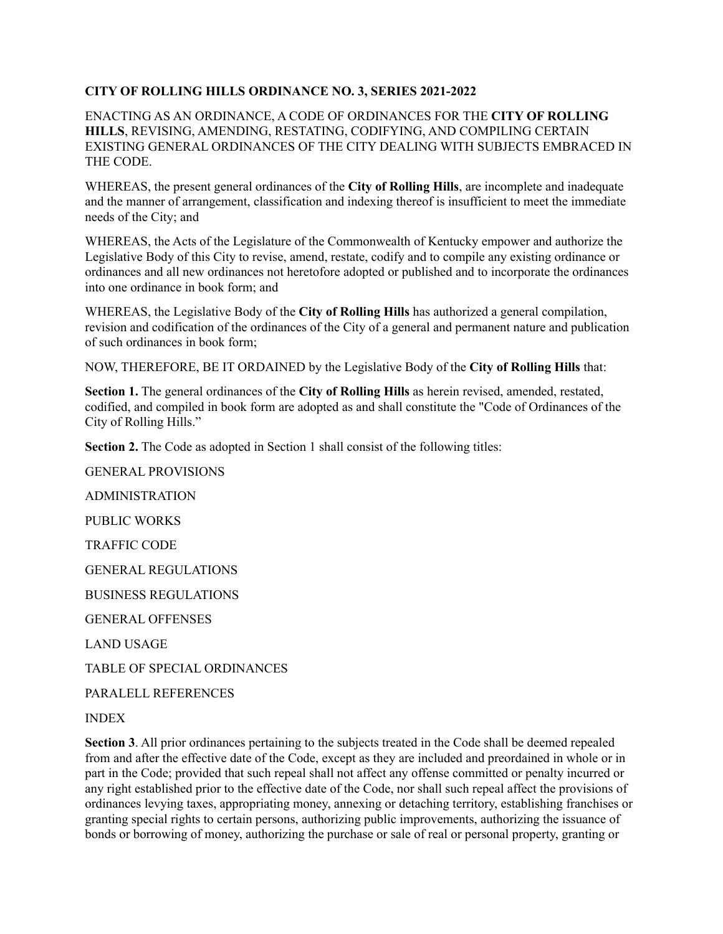## **CITY OF ROLLING HILLS ORDINANCE NO. 3, SERIES 2021-2022**

ENACTING AS AN ORDINANCE, A CODE OF ORDINANCES FOR THE **CITY OF ROLLING HILLS**, REVISING, AMENDING, RESTATING, CODIFYING, AND COMPILING CERTAIN EXISTING GENERAL ORDINANCES OF THE CITY DEALING WITH SUBJECTS EMBRACED IN THE CODE.

WHEREAS, the present general ordinances of the **City of Rolling Hills**, are incomplete and inadequate and the manner of arrangement, classification and indexing thereof is insufficient to meet the immediate needs of the City; and

WHEREAS, the Acts of the Legislature of the Commonwealth of Kentucky empower and authorize the Legislative Body of this City to revise, amend, restate, codify and to compile any existing ordinance or ordinances and all new ordinances not heretofore adopted or published and to incorporate the ordinances into one ordinance in book form; and

WHEREAS, the Legislative Body of the **City of Rolling Hills** has authorized a general compilation, revision and codification of the ordinances of the City of a general and permanent nature and publication of such ordinances in book form;

NOW, THEREFORE, BE IT ORDAINED by the Legislative Body of the **City of Rolling Hills** that:

**Section 1.** The general ordinances of the **City of Rolling Hills** as herein revised, amended, restated, codified, and compiled in book form are adopted as and shall constitute the "Code of Ordinances of the City of Rolling Hills."

**Section 2.** The Code as adopted in Section 1 shall consist of the following titles:

GENERAL PROVISIONS ADMINISTRATION PUBLIC WORKS TRAFFIC CODE GENERAL REGULATIONS BUSINESS REGULATIONS GENERAL OFFENSES LAND USAGE TABLE OF SPECIAL ORDINANCES

PARALELL REFERENCES

INDEX

**Section 3**. All prior ordinances pertaining to the subjects treated in the Code shall be deemed repealed from and after the effective date of the Code, except as they are included and preordained in whole or in part in the Code; provided that such repeal shall not affect any offense committed or penalty incurred or any right established prior to the effective date of the Code, nor shall such repeal affect the provisions of ordinances levying taxes, appropriating money, annexing or detaching territory, establishing franchises or granting special rights to certain persons, authorizing public improvements, authorizing the issuance of bonds or borrowing of money, authorizing the purchase or sale of real or personal property, granting or